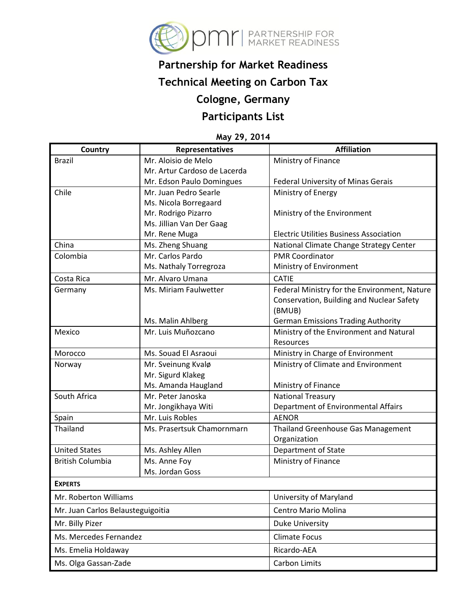

# **Partnership for Market Readiness**

## **Technical Meeting on Carbon Tax**

### **Cologne, Germany**

### **Participants List**

#### **May 29, 2014**

| <b>Country</b>                    | Representatives              | <b>Affiliation</b>                             |
|-----------------------------------|------------------------------|------------------------------------------------|
| <b>Brazil</b>                     | Mr. Aloisio de Melo          | Ministry of Finance                            |
|                                   | Mr. Artur Cardoso de Lacerda |                                                |
|                                   | Mr. Edson Paulo Domingues    | Federal University of Minas Gerais             |
| Chile                             | Mr. Juan Pedro Searle        | Ministry of Energy                             |
|                                   | Ms. Nicola Borregaard        |                                                |
|                                   | Mr. Rodrigo Pizarro          | Ministry of the Environment                    |
|                                   | Ms. Jillian Van Der Gaag     |                                                |
|                                   | Mr. Rene Muga                | <b>Electric Utilities Business Association</b> |
| China                             | Ms. Zheng Shuang             | National Climate Change Strategy Center        |
| Colombia                          | Mr. Carlos Pardo             | <b>PMR Coordinator</b>                         |
|                                   | Ms. Nathaly Torregroza       | Ministry of Environment                        |
| Costa Rica                        | Mr. Alvaro Umana             | <b>CATIE</b>                                   |
| Germany                           | Ms. Miriam Faulwetter        | Federal Ministry for the Environment, Nature   |
|                                   |                              | Conservation, Building and Nuclear Safety      |
|                                   |                              | (BMUB)                                         |
|                                   | Ms. Malin Ahlberg            | <b>German Emissions Trading Authority</b>      |
| Mexico                            | Mr. Luis Muñozcano           | Ministry of the Environment and Natural        |
|                                   |                              | Resources                                      |
| Morocco                           | Ms. Souad El Asraoui         | Ministry in Charge of Environment              |
| Norway                            | Mr. Sveinung Kvalø           | Ministry of Climate and Environment            |
|                                   | Mr. Sigurd Klakeg            |                                                |
|                                   | Ms. Amanda Haugland          | Ministry of Finance                            |
| South Africa                      | Mr. Peter Janoska            | <b>National Treasury</b>                       |
|                                   | Mr. Jongikhaya Witi          | Department of Environmental Affairs            |
| Spain                             | Mr. Luis Robles              | <b>AENOR</b>                                   |
| Thailand                          | Ms. Prasertsuk Chamornmarn   | <b>Thailand Greenhouse Gas Management</b>      |
|                                   |                              | Organization                                   |
| <b>United States</b>              | Ms. Ashley Allen             | Department of State                            |
| <b>British Columbia</b>           | Ms. Anne Foy                 | Ministry of Finance                            |
|                                   | Ms. Jordan Goss              |                                                |
| <b>EXPERTS</b>                    |                              |                                                |
| Mr. Roberton Williams             |                              | University of Maryland                         |
| Mr. Juan Carlos Belausteguigoitia |                              | Centro Mario Molina                            |
| Mr. Billy Pizer                   |                              | <b>Duke University</b>                         |
| Ms. Mercedes Fernandez            |                              | <b>Climate Focus</b>                           |
| Ms. Emelia Holdaway               |                              | Ricardo-AEA                                    |
| Ms. Olga Gassan-Zade              |                              | Carbon Limits                                  |